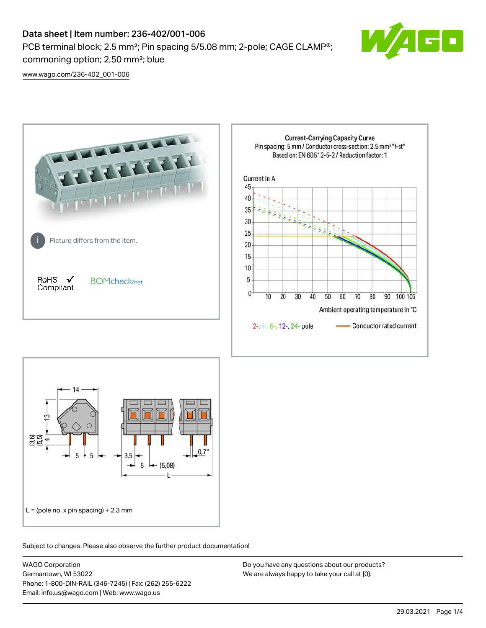# Data sheet | Item number: 236-402/001-006

PCB terminal block; 2.5 mm²; Pin spacing 5/5.08 mm; 2-pole; CAGE CLAMP®; commoning option; 2,50 mm²; blue



[www.wago.com/236-402\\_001-006](http://www.wago.com/236-402_001-006)





Subject to changes. Please also observe the further product documentation!

WAGO Corporation Germantown, WI 53022 Phone: 1-800-DIN-RAIL (346-7245) | Fax: (262) 255-6222 Email: info.us@wago.com | Web: www.wago.us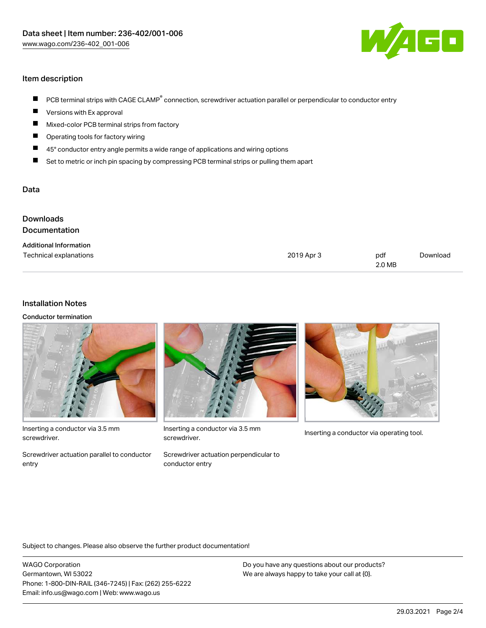

## Item description

- PCB terminal strips with CAGE CLAMP<sup>®</sup> connection, screwdriver actuation parallel or perpendicular to conductor entry  $\blacksquare$
- Versions with Ex approval П
- $\blacksquare$ Mixed-color PCB terminal strips from factory
- $\blacksquare$ Operating tools for factory wiring
- $\blacksquare$ 45° conductor entry angle permits a wide range of applications and wiring options
- П Set to metric or inch pin spacing by compressing PCB terminal strips or pulling them apart

#### Data

| <b>Downloads</b><br><b>Documentation</b> |            |               |          |
|------------------------------------------|------------|---------------|----------|
| <b>Additional Information</b>            |            |               |          |
| Technical explanations                   | 2019 Apr 3 | pdf<br>2.0 MB | Download |

### Installation Notes

Conductor termination



Inserting a conductor via 3.5 mm screwdriver.

Screwdriver actuation parallel to conductor entry



Inserting a conductor via 3.5 mm<br>Inserting a conductor via operating tool. screwdriver.

Screwdriver actuation perpendicular to conductor entry



Subject to changes. Please also observe the further product documentation!

WAGO Corporation Germantown, WI 53022 Phone: 1-800-DIN-RAIL (346-7245) | Fax: (262) 255-6222 Email: info.us@wago.com | Web: www.wago.us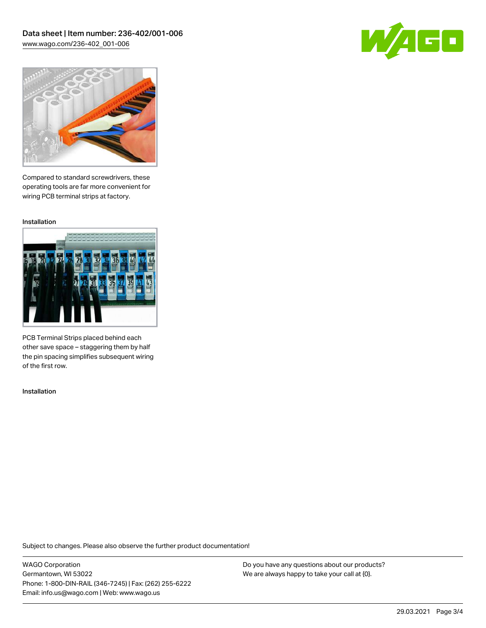



Compared to standard screwdrivers, these operating tools are far more convenient for wiring PCB terminal strips at factory.

Installation



PCB Terminal Strips placed behind each other save space – staggering them by half the pin spacing simplifies subsequent wiring of the first row.

Installation

Subject to changes. Please also observe the further product documentation!

WAGO Corporation Germantown, WI 53022 Phone: 1-800-DIN-RAIL (346-7245) | Fax: (262) 255-6222 Email: info.us@wago.com | Web: www.wago.us